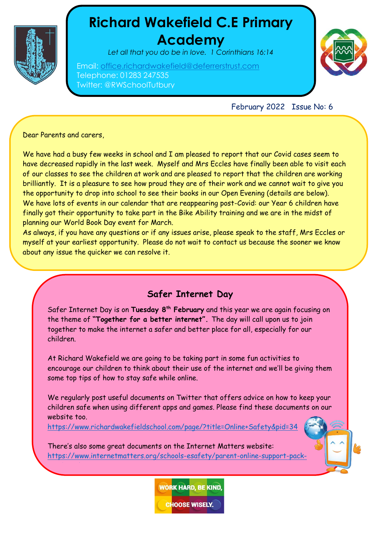

# **Richard Wakefield C.E Primary Academy**

*Let all that you do be in love. 1 Corinthians 16:14*

Email: [office.richardwakefield@deferrerstrust.com](mailto:office.richardwakefield@deferrerstrust.com) Telephone: 01283 247535 Twitter: @RWSchoolTutbury



February 2022 Issue No: 6

Dear Parents and carers,

[teachers/](https://www.internetmatters.org/schools-esafety/parent-online-support-pack-teachers/)

We have had a busy few weeks in school and I am pleased to report that our Covid cases seem to have decreased rapidly in the last week. Myself and Mrs Eccles have finally been able to visit each of our classes to see the children at work and are pleased to report that the children are working brilliantly. It is a pleasure to see how proud they are of their work and we cannot wait to give you the opportunity to drop into school to see their books in our Open Evening (details are below). We have lots of events in our calendar that are reappearing post-Covid: our Year 6 children have finally got their opportunity to take part in the Bike Ability training and we are in the midst of planning our World Book Day event for March.

As always, if you have any questions or if any issues arise, please speak to the staff, Mrs Eccles or myself at your earliest opportunity. Please do not wait to contact us because the sooner we know about any issue the quicker we can resolve it.

## **Safer Internet Day**

Safer Internet Day is on **Tuesday 8th February** and this year we are again focusing on the theme of **"Together for a better internet".** The day will call upon us to join together to make the internet a safer and better place for all, especially for our children.

At Richard Wakefield we are going to be taking part in some fun activities to encourage our children to think about their use of the internet and we'll be giving them some top tips of how to stay safe while online.

We regularly post useful documents on Twitter that offers advice on how to keep your children safe when using different apps and games. Please find these documents on our website too.

<https://www.richardwakefieldschool.com/page/?title=Online+Safety&pid=34>

There's also some great documents on the Internet Matters website: [https://www.internetmatters.org/schools-esafety/parent-online-support-pack-](https://www.internetmatters.org/schools-esafety/parent-online-support-pack-teachers/)



**CHOOSE WISELY.**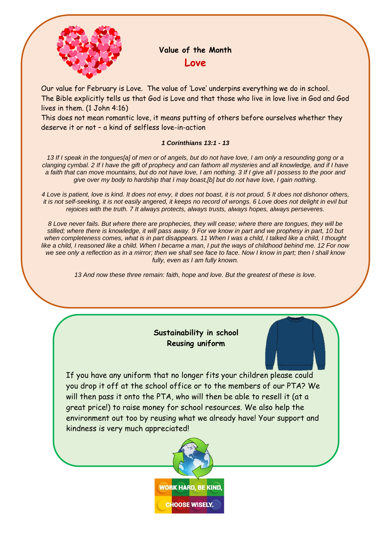

# **Value of the Month Love**

Our value for February is Love. The value of 'Love' underpins everything we do in school. The Bible explicitly tells us that God is Love and that those who live in love live in God and God lives in them. (1 John 4:16)

This does not mean romantic love, it means putting of others before ourselves whether they deserve it or not – a kind of selfless love-in-action

#### *1 Corinthians 13:1 - 13*

*13 If I speak in the tongues[a] of men or of angels, but do not have love, I am only a resounding gong or a clanging cymbal. 2 If I have the gift of prophecy and can fathom all mysteries and all knowledge, and if I have a faith that can move mountains, but do not have love, I am nothing. 3 If I give all I possess to the poor and give over my body to hardship that I may boast,[b] but do not have love, I gain nothing.*

*4 Love is patient, love is kind. It does not envy, it does not boast, it is not proud. 5 It does not dishonor others, it is not self-seeking, it is not easily angered, it keeps no record of wrongs. 6 Love does not delight in evil but rejoices with the truth. 7 It always protects, always trusts, always hopes, always perseveres.*

*8 Love never fails. But where there are prophecies, they will cease; where there are tongues, they will be stilled; where there is knowledge, it will pass away. 9 For we know in part and we prophesy in part, 10 but*  when completeness comes, what is in part disappears. 11 When I was a child, I talked like a child, I thought *like a child, I reasoned like a child. When I became a man, I put the ways of childhood behind me. 12 For now we see only a reflection as in a mirror; then we shall see face to face. Now I know in part; then I shall know fully, even as I am fully known.*

*13 And now these three remain: faith, hope and love. But the greatest of these is love.*

#### **Sustainability in school Reusing uniform**

If you have any uniform that no longer fits your children please could you drop it off at the school office or to the members of our PTA? We will then pass it onto the PTA, who will then be able to resell it (at a great price!) to raise money for school resources. We also help the environment out too by reusing what we already have! Your support and kindness is very much appreciated!

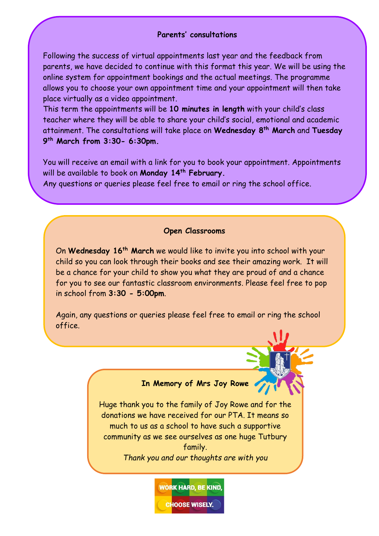#### **Parents' consultations**

Following the success of virtual appointments last year and the feedback from parents, we have decided to continue with this format this year. We will be using the online system for appointment bookings and the actual meetings. The programme allows you to choose your own appointment time and your appointment will then take place virtually as a video appointment.

This term the appointments will be **10 minutes in length** with your child's class teacher where they will be able to share your child's social, emotional and academic attainment. The consultations will take place on **Wednesday 8th March** and **Tuesday 9 th March from 3:30- 6:30pm.**

You will receive an email with a link for you to book your appointment. Appointments will be available to book on **Monday 14th February.**

Any questions or queries please feel free to email or ring the school office.

#### **Open Classrooms**

On **Wednesday 16th March** we would like to invite you into school with your child so you can look through their books and see their amazing work. It will be a chance for your child to show you what they are proud of and a chance for you to see our fantastic classroom environments. Please feel free to pop in school from **3:30 - 5:00pm**.

Again, any questions or queries please feel free to email or ring the school office.

## **In Memory of Mrs Joy Rowe**

Huge thank you to the family of Joy Rowe and for the donations we have received for our PTA. It means so much to us as a school to have such a supportive community as we see ourselves as one huge Tutbury family.

*Thank you and our thoughts are with you*

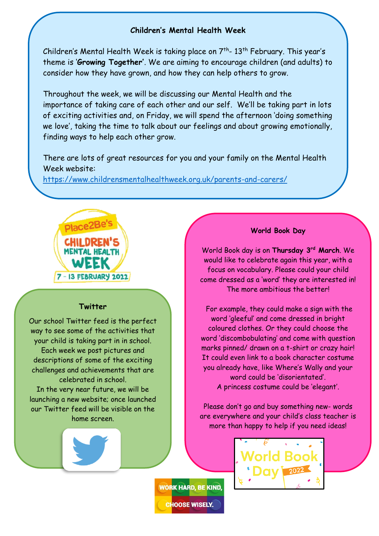#### **Children's Mental Health Week**

Children's Mental Health Week is taking place on  $7^{\text{th}}$ - 13<sup>th</sup> February. This year's theme is '**Growing Together'**. We are aiming to encourage children (and adults) to consider how they have grown, and how they can help others to grow.

Throughout the week, we will be discussing our Mental Health and the importance of taking care of each other and our self. We'll be taking part in lots of exciting activities and, on Friday, we will spend the afternoon 'doing something we love', taking the time to talk about our feelings and about growing emotionally, finding ways to help each other grow.

There are lots of great resources for you and your family on the Mental Health Week website:

<https://www.childrensmentalhealthweek.org.uk/parents-and-carers/>



#### **Twitter**

Our school Twitter feed is the perfect way to see some of the activities that your child is taking part in in school. Each week we post pictures and descriptions of some of the exciting challenges and achievements that are celebrated in school. In the very near future, we will be launching a new website; once launched our Twitter feed will be visible on the home screen.

#### **World Book Day**

World Book day is on **Thursday 3rd March**. We would like to celebrate again this year, with a focus on vocabulary. Please could your child come dressed as a 'word' they are interested in! The more ambitious the better!

For example, they could make a sign with the word 'gleeful' and come dressed in bright coloured clothes. Or they could choose the word 'discombobulating' and come with question marks pinned/ drawn on a t-shirt or crazy hair! It could even link to a book character costume you already have, like Where's Wally and your word could be 'disorientated'. A princess costume could be 'elegant'.

Please don't go and buy something new- words are everywhere and your child's class teacher is more than happy to help if you need ideas!



**WORK HARD, BE KIND.** 

**CHOOSE WISELY.**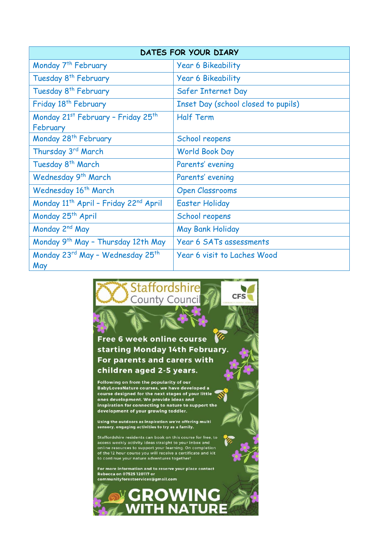| <b>DATES FOR YOUR DIARY</b>                                   |                                     |
|---------------------------------------------------------------|-------------------------------------|
| Monday 7 <sup>th</sup> February                               | <b>Year 6 Bikeability</b>           |
| Tuesday 8 <sup>th</sup> February                              | <b>Year 6 Bikeability</b>           |
| Tuesday 8 <sup>th</sup> February                              | Safer Internet Day                  |
| Friday 18 <sup>th</sup> February                              | Inset Day (school closed to pupils) |
| Monday 21st February - Friday 25th                            | <b>Half Term</b>                    |
| February                                                      |                                     |
| Monday 28 <sup>th</sup> February                              | School reopens                      |
| Thursday 3rd March                                            | <b>World Book Day</b>               |
| Tuesday 8 <sup>th</sup> March                                 | Parents' evening                    |
| Wednesday 9 <sup>th</sup> March                               | Parents' evening                    |
| Wednesday 16 <sup>th</sup> March                              | <b>Open Classrooms</b>              |
| Monday 11 <sup>th</sup> April - Friday 22 <sup>nd</sup> April | <b>Easter Holiday</b>               |
| Monday 25 <sup>th</sup> April                                 | School reopens                      |
| Monday 2 <sup>nd</sup> May                                    | May Bank Holiday                    |
| Monday 9 <sup>th</sup> May - Thursday 12th May                | Year 6 SATs assessments             |
| Monday 23rd May - Wednesday 25th<br>May                       | Year 6 visit to Laches Wood         |

### **Staffordshire CFS County Council**

 $\sqrt{a}$ Free 6 week online course starting Monday 14th February. For parents and carers with children aged 2-5 years.

Following on from the popularity of our BabyLovesNature courses, we have developed a course designed for the next stages of your little ones development. We provide ideas and inspiration for connecting to nature to support the development of your growing toddler.

Using the outdoors as inspiration we're offering multi sensory, engaging activities to try as a family.

Staffordshire residents can book on this course for free, to<br>access weekly activity ideas straight to your inbox and online resources to support your learning. On completion<br>of the 12 hour course you will receive a certificate and kit to continue your nature adventures together!

For more information and to reserve your place contact Rebecca on 07525 120117 or communityforestservices@gmail.com

**ROWING** 

IIR